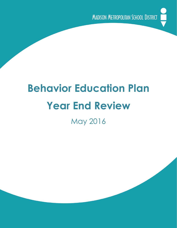

# **Behavior Education Plan Year End Review**

May 2016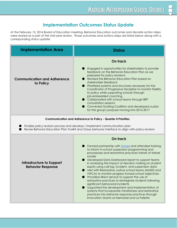# **Implementation Outcomes Status Update**

 corresponding status update: At the February 15, 2016 Board of Education meeting, Behavior Education outcomes and discrete action steps were shared as a part of the midyear review. Those outcomes and actions steps are listed below along with a

| <b>Implementation Area</b>                      | <b>Status</b>                                                                                                                                                                                                                                                                                                                                                                                                                                                                                                                                                                                                         |
|-------------------------------------------------|-----------------------------------------------------------------------------------------------------------------------------------------------------------------------------------------------------------------------------------------------------------------------------------------------------------------------------------------------------------------------------------------------------------------------------------------------------------------------------------------------------------------------------------------------------------------------------------------------------------------------|
| <b>Communication and Adherence</b><br>to Policy | On track<br>$\bullet$ Engaged in opportunities for stakeholders to provide<br>feedback on the Behavior Education Plan as we<br>prepared for policy revisions<br>● Revised the Behavior Education Plan based on<br>stakeholder feedback<br><b>Perioritized systems and structures necessary for the</b><br>Coordinator of Progressive Discipline to monitor fidelity<br>to policy while supporting schools through<br>job-embedded coaching<br>Collaborated with school teams through BEP<br>consultation sessions<br>Convened Guiding Coalition and developed a plan<br>for the group's purpose moving into 2016-2017 |

#### **Communication and Adherence to Policy Quarter 4 Priorities**

Finalize policy revision process and develop / implement communication plan

Revise Behavior Education Plan Toolkit and Oasys behavior interface to align with policy revision

|                                                       | On track                                                                                                                                                                                                                                                                                                                                                                                                                                                                                                                                                                                                                                                                                                                                                                                                                                     |
|-------------------------------------------------------|----------------------------------------------------------------------------------------------------------------------------------------------------------------------------------------------------------------------------------------------------------------------------------------------------------------------------------------------------------------------------------------------------------------------------------------------------------------------------------------------------------------------------------------------------------------------------------------------------------------------------------------------------------------------------------------------------------------------------------------------------------------------------------------------------------------------------------------------|
| Infrastructure to Support<br><b>Behavior Response</b> | • Formed partnership with <i>Umoja</i> and attended training<br>to inform in-school suspension programming and<br>procedures and restorative practices trainer of trainer<br>model<br>• Developed Data Dashboard report to support teams<br>in analyzing the impact of decision making on student<br>equity using call log, incident, and suspension data<br>● Met with Restorative Justice school teams (MMSD and<br>YWCA) to monitor progress toward school objectives<br>• Provided direct service to support the use of<br>restorative practices to reintegrate students following<br>significant behavioral incidents<br>Supported the development and implementation of<br>systems that incorporate mindfulness and restorative<br>practices into behavior response practices through<br>Innovation Grants at Memorial and La Follette |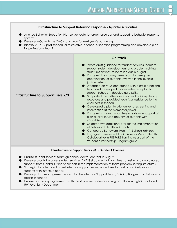### **Infrastructure to Support Behavior Response Quarter 4 Priorities**

- Analyze Behavior Education Plan survey data to target resources and support to behavior response systems
- Develop MOU with the YWCA and plan for next year's partnership
- Identify 2016-17 pilot schools for restorative in-school suspension programming and develop a plan for professional learning



#### **Infrastructure to Support Tiers 2 /3 - Quarter 4 Priorities**

- Finalize student services team guidance; deliver content in August
- Develop a collaborative student services / MTSS structure that prioritizes cohesive and coordinated supports from Central Office to schools in the implementation of team problem-solving structures
- Strategically reflect and adjust intensive support team procedures to most proactively support students with intensive needs
- Develop data management system for the Intensive Support Team, Building Bridges, and Behavioral Health in Schools
- Finalize partnership agreements with the Wisconsin Partnership Program, Horizon High School, and UW Psychiatry Department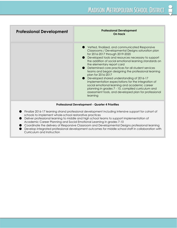| <b>Professional Development</b> | <b>Professional Development</b><br>On track                                                                                                                                                                                                                                                                                                                                                                                                                                                                                                                                                                                                                                                                 |
|---------------------------------|-------------------------------------------------------------------------------------------------------------------------------------------------------------------------------------------------------------------------------------------------------------------------------------------------------------------------------------------------------------------------------------------------------------------------------------------------------------------------------------------------------------------------------------------------------------------------------------------------------------------------------------------------------------------------------------------------------------|
|                                 |                                                                                                                                                                                                                                                                                                                                                                                                                                                                                                                                                                                                                                                                                                             |
|                                 | Vetted, finalized, and communicated Responsive<br>Classrooms / Developmental Designs saturation plan<br>for 2016-2017 through 2019-2020<br>Developed tools and resources necessary to support<br>the addition of social emotional learning standards on<br>the elementary report card<br>● Determined core practices for all student services<br>teams and began designing the professional learning<br>plan for 2016-2017<br>● Developed shared understanding of 2016-17<br>implementation expectations for the integration of<br>social emotional learning and academic career<br>planning in grades 7 - 10, compiled curriculum and<br>assessment tools, and developed plan for professional<br>learning |

#### **Professional Development Quarter 4 Priorities**

- Finalize 2016-17 learning strand professional development including intensive support for cohort of schools to implement whole-school restorative practices
- Deliver professional learning to middle and high school teams to support implementation of Academic Career Planning and Social Emotional Learning in grades 710
- Coordinate the delivery of Responsive Classroom and Developmental Designs professional learning
- Develop integrated professional development outcomes for middle school staff in collaboration with Curriculum and Instruction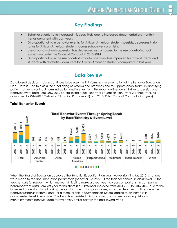# **Key Findings**

- Behavior events have increased this year, likely due to increased documentation; monthly trends consistent with past years
- Disproportionality, in behavior events, for African American students persists; decreases in risk ratios for African American students across schools very promising
- Use of out-of-school suspension has decreased as compared to the use of out-of-school suspension under the Code of Conduct in 2013-2014
- Disproportionality, in the use of out-of school-suspension, has improved for male students and students with disabilities; consistent for African American students compared to last year

# **Data Review**

compared to 2014-2015 (Behavior Education Plan - year 1) and 2013-2014 (Code of Conduct - final year). Data-based decision making continues to be essential in informing implementation of the Behavior Education Plan. Data is used to assess the functioning of systems and practices and to support school teams in identifying patterns of behavior that inform instruction and intervention. This report outlines quantitative suspension and behavior event data from 2015-2016 before spring break (Behavior Education Plan - year 2) school year, as

# **Total Behavior Events**



month-by-month behavior data follows a very similar pattern the past several years. When the Board of Education approved the Behavior Education Plan year two revisions in May 2015, changes were made to the documentation parameters (behavior is a level 1 if the teacher handles in class; level 2 if the teacher calls for support), which makes it difficult to make a direct year-to-year comparisons. In comparing behavior event data from last year to this, there is a substantial increase from 2014-2015 to 2015-2016, due to the increased understanding of policy, clearer documentation parameters, increased teacher confidence in the behavior response systems, and / or a more reliable documentation system leading to an increase in documented level 2 behaviors. The trend has persisted this school year, but when reviewing historical,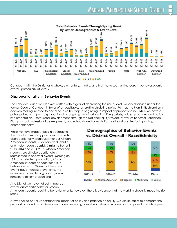

 overall, particularly at level 2. Congruent with the District as a whole, elementary, middle, and high have seen an increase in behavior events

# **Disproportionality in Behavior Events**

 disproportionality. The Behavior Education Plan was written with a goal of decreasing the use of exclusionary discipline under the former Code of Conduct in favor of an equitable, restorative discipline policy. Further, the Plan limits discretion in decision making, related to discipline, as a first step in beginning to impact disproportionality. While we have a policy poised to impact disproportionality, ongoing work is critical in shifting beliefs, values, practices, and policy implementation. Professional development, through the National Equity Project, as well as Behavior Education Plan principal professional development, and school-based consultation are key strategies for impacting

 remains relatively proportional. While we have made strides in decreasing the use of exclusionary practices for all kids, disproportionality, particularly for our African American students, students with disabilities, and male students persist. Similar to trends in 2013-2014 and 2014-2015, African American students are still disproportionately represented in behavior events. Making up 18% of our student population, African American students account for 54% of behavior events. Given that behavior events have increased over time, the increase in other demographic groups

# **Demographics of Behavior Events** vs. District Overall - Race/Ethnicity



As a District we have not yet impacted overall disproportionality for African

 ratios. American students receiving behavior events; however, there is evidence that the work in schools is impacting risk

As we seek to better understand the impact of policy and practice on equity, we use risk ratios to compare the probability of an African American student receiving a level 25 behavior incident, as compared to a white peer.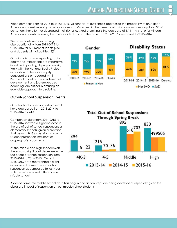American students receiving behavior incidents, across the District, in 2014-2015 compared to 2015-2016. When comparing spring 2015 to spring 2016, 31 schools of our schools decreased the probability of an African American student receiving a behavior event. Moreover, in the three months since our midyear update, 38 of our schools have further decreased their risk ratio. Most promising is the decrease of 1.11 in risk ratio for African

 and students with disabilities (2%). We have continued decreasing disproportionality from 2014-2015 to 20152016 for our male students (4%)

Ongoing discussions regarding racial equity and implicit bias are imperative in further impacting disproportionality. Work with the National Equity Project, in addition to the racial equity conversations embedded within Behavior Education Plan professional development and job-embedded coaching, are critical in ensuring an equitable approach to discipline.

# **Out-of-School Suspension Events**

 20152016 by 44%. Out-of-school suspension rates overall have decreased from 2013-2014 to

 ongoing safety concerns. Comparison data from 2014-2015 to 2015-2016 showed a slight increase in the use of out-of-school suspensions at elementary schools, given a provision that permits 4K-3 suspensions should a student present an imminent or

 middle school. At the middle and high school levels, there was a significant decrease in the use of out-of-school suspension from 2013-2014 to 2014-2015. Current 2015-2016 data represented a slight increase in the use of out-of-school suspension as compared to last year with the most marked difference in





 disparate impact of suspension on our middle school students.A deeper dive into middle school data has begun and action steps are being developed, especially given the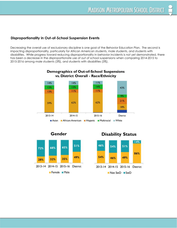# **Disproportionality in Out-of-School Suspension Events**

 20152016 among male students (3%), and students with disabilities (3%).Decreasing the overall use of exclusionary discipline is one goal of the Behavior Education Plan. The second is impacting disproportionality, particularly for African American students, male students, and students with disabilities. While progress toward reducing disproportionality in behavior incidents is not yet demonstrated, there has been a decrease in the disproportionate use of out of school suspensions when comparing 2014-2015 to



# **Demographics of Out-of-School Suspensions**





**Disability Status** 

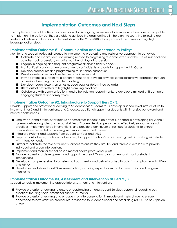# **Implementation Outcomes and Next Steps**

 leverage, action steps. The implementation of the Behavior Education Plan is ongoing as we work to ensure our schools are not only able to implement the policy but they are able to achieve the goals outlined in the plan. As such, the following are features of Behavior Education implementation for the 2017-2018 school year and the corresponding, high

# **Implementation Outcome #1, Communication and Adherence to Policy:**

Monitor and support policy adherence to implement a progressive and restorative approach to behavior.

- **Calibrate and monitor decision making related to progressing response levels and the use of in-school and** out-of-school suspension, including number of days of suspension
- Engage in ongoing and frequent progressive discipline fidelity checks
- Monitor fidelity of documentation of behavior incidents and calls for support within Oasys
- Develop procedures and programming for in-school suspension
- Develop restorative practices Trainer of Trainers model
- Provide intensive support for a cohort of schools to develop a whole-school restorative approach through professional learning and on-site coaching
- Develop student lessons on an as needed basis as determined by data
- Utilize district newsletters to highlight promising practices
- Collaborate with communications, and other relevant departments, to develop a mindset shift campaign engaging student and family voice

# **Implementation Outcome #2, Infrastructure to Support Tiers 2 / 3:**

Provide support and professional learning to Student Services Teams to 1) develop a school-level infrastructure to implement tier 2 and 3 interventions, and 2) access additional support for students with intensive behavioral and mental health needs.

- Employ a Central Office infrastructure necessary for schools to be better supported in developing tier 2 and 3 systems, delineating roles and responsibilities of Student Services personnel to effectively support universal practices, implement tiered interventions, and provide a continuum of services for students to ensure adequate implementation planning with support matched to need
- Integrate systems and supports from student services and MTSS
- Employ a district level, continuum of services, to support a school's professional growth in working with students with intensive needs
- Further recalibrate the role of students services to ensure they are, first and foremost, available to provide individual and group interventions
- Implement and monitor school-based mental health professional pilots
- Provide professional development and support the use of Oasys to document and monitor student interventions
- Develop a comprehensive data system to track mental and behavioral health data in compliance with HIPAA and FERPA
- Develop expectations for MTSS implementation; including expectations for documentation and progress monitoring

# **Implementation Outcome #3, Assessment and Intervention at Tiers 2 /3:**

Support schools in implementing appropriate assessment and intervention.

- Provide professional learning to ensure understanding among Student Services personnel regarding best practices for using social emotional brief assessments
- Provide professional learning and engage in on-site consultation in middle and high schools to ensure adherence to best practice procedures in response to student alcohol and other drug (AOD) use or suspicion of use